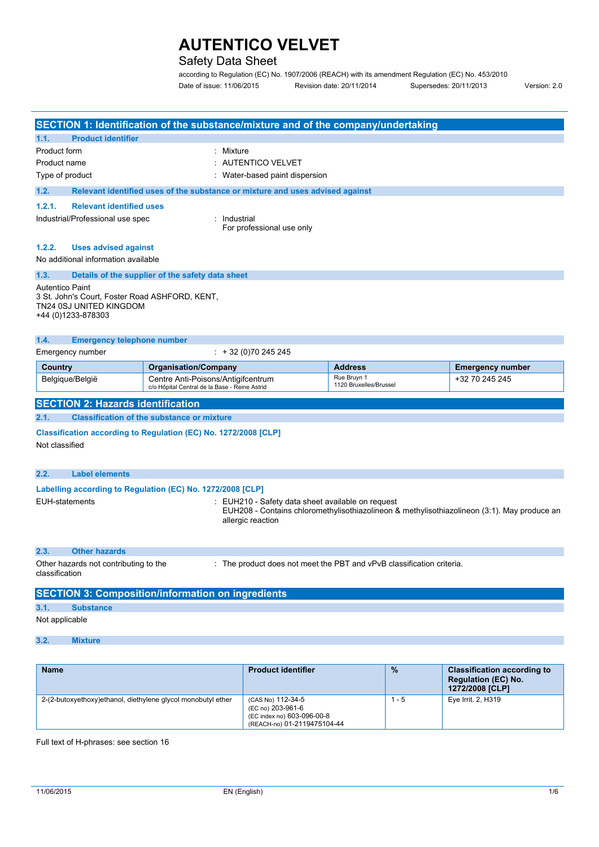## Safety Data Sheet

according to Regulation (EC) No. 1907/2006 (REACH) with its amendment Regulation (EC) No. 453/2010 Date of issue: 11/06/2015 Revision date: 20/11/2014 Supersedes: 20/11/2013 Version: 2.0

|                                                                                                                           |                                                                                     | SECTION 1: Identification of the substance/mixture and of the company/undertaking |                                                                                             |                         |
|---------------------------------------------------------------------------------------------------------------------------|-------------------------------------------------------------------------------------|-----------------------------------------------------------------------------------|---------------------------------------------------------------------------------------------|-------------------------|
| <b>Product identifier</b><br>1.1.                                                                                         |                                                                                     |                                                                                   |                                                                                             |                         |
| Product form<br>Product name<br>Type of product                                                                           |                                                                                     | : Mixture<br>: AUTENTICO VELVET<br>Water-based paint dispersion                   |                                                                                             |                         |
| 1.2.                                                                                                                      |                                                                                     | Relevant identified uses of the substance or mixture and uses advised against     |                                                                                             |                         |
| 1.2.1.<br><b>Relevant identified uses</b><br>Industrial/Professional use spec                                             |                                                                                     | : Industrial<br>For professional use only                                         |                                                                                             |                         |
| 1.2.2.<br><b>Uses advised against</b><br>No additional information available                                              |                                                                                     |                                                                                   |                                                                                             |                         |
| 1.3.                                                                                                                      | Details of the supplier of the safety data sheet                                    |                                                                                   |                                                                                             |                         |
| <b>Autentico Paint</b><br>3 St. John's Court, Foster Road ASHFORD, KENT,<br>TN24 0SJ UNITED KINGDOM<br>+44 (0)1233-878303 |                                                                                     |                                                                                   |                                                                                             |                         |
| 1.4.<br><b>Emergency telephone number</b>                                                                                 |                                                                                     |                                                                                   |                                                                                             |                         |
| Emergency number                                                                                                          |                                                                                     | $\div$ + 32 (0)70 245 245                                                         |                                                                                             |                         |
| Country                                                                                                                   | <b>Organisation/Company</b>                                                         |                                                                                   | <b>Address</b>                                                                              | <b>Emergency number</b> |
| Belgique/België                                                                                                           | Centre Anti-Poisons/Antigifcentrum<br>c/o Hôpital Central de la Base - Reine Astrid |                                                                                   | Rue Bruyn 1<br>1120 Bruxelles/Brussel                                                       | +32 70 245 245          |
| <b>SECTION 2: Hazards identification</b>                                                                                  |                                                                                     |                                                                                   |                                                                                             |                         |
| 2.1.                                                                                                                      | <b>Classification of the substance or mixture</b>                                   |                                                                                   |                                                                                             |                         |
| Classification according to Regulation (EC) No. 1272/2008 [CLP]<br>Not classified                                         |                                                                                     |                                                                                   |                                                                                             |                         |
| 2.2.<br><b>Label elements</b>                                                                                             |                                                                                     |                                                                                   |                                                                                             |                         |
| Labelling according to Regulation (EC) No. 1272/2008 [CLP]                                                                |                                                                                     |                                                                                   |                                                                                             |                         |
| <b>EUH-statements</b>                                                                                                     |                                                                                     | EUH210 - Safety data sheet available on request<br>allergic reaction              | EUH208 - Contains chloromethylisothiazolineon & methylisothiazolineon (3:1). May produce an |                         |
| <b>Other hazards</b><br>2.3.                                                                                              |                                                                                     |                                                                                   |                                                                                             |                         |
| Other hazards not contributing to the<br>classification                                                                   |                                                                                     |                                                                                   | : The product does not meet the PBT and vPvB classification criteria.                       |                         |
| <b>SECTION 3: Composition/information on ingredients</b>                                                                  |                                                                                     |                                                                                   |                                                                                             |                         |
| 3.1.<br><b>Substance</b>                                                                                                  |                                                                                     |                                                                                   |                                                                                             |                         |
|                                                                                                                           |                                                                                     |                                                                                   |                                                                                             |                         |

### Not applicable

**3.2. Mixture**

| <b>Name</b>                                                  | <b>Product identifier</b>                                                                           | $\frac{9}{6}$ | <b>Classification according to</b><br><b>Regulation (EC) No.</b><br>1272/2008 [CLP] |
|--------------------------------------------------------------|-----------------------------------------------------------------------------------------------------|---------------|-------------------------------------------------------------------------------------|
| 2-(2-butoxyethoxy)ethanol, diethylene glycol monobutyl ether | (CAS No) 112-34-5<br>(EC no) 203-961-6<br>(EC index no) 603-096-00-8<br>(REACH-no) 01-2119475104-44 | - 5           | Eye Irrit. 2, H319                                                                  |

Full text of H-phrases: see section 16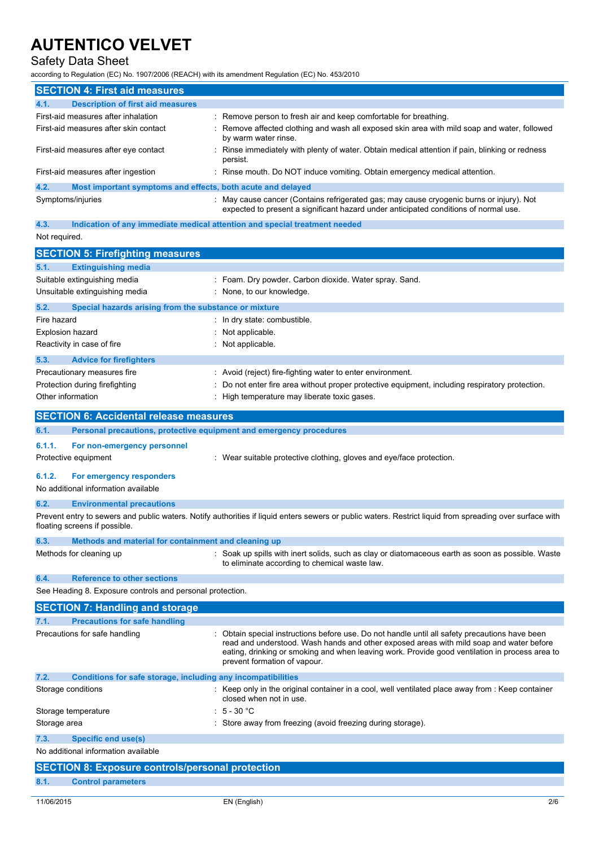## Safety Data Sheet

according to Regulation (EC) No. 1907/2006 (REACH) with its amendment Regulation (EC) No. 453/2010

|      | <b>SECTION 4: First aid measures</b>                        |                                                                                                                                                                                  |
|------|-------------------------------------------------------------|----------------------------------------------------------------------------------------------------------------------------------------------------------------------------------|
| 4.1. | <b>Description of first aid measures</b>                    |                                                                                                                                                                                  |
|      | First-aid measures after inhalation                         | : Remove person to fresh air and keep comfortable for breathing.                                                                                                                 |
|      | First-aid measures after skin contact                       | Remove affected clothing and wash all exposed skin area with mild soap and water, followed<br>by warm water rinse.                                                               |
|      | First-aid measures after eye contact                        | Rinse immediately with plenty of water. Obtain medical attention if pain, blinking or redness<br>persist.                                                                        |
|      | First-aid measures after ingestion                          | Rinse mouth. Do NOT induce vomiting. Obtain emergency medical attention.                                                                                                         |
| 4.2. | Most important symptoms and effects, both acute and delayed |                                                                                                                                                                                  |
|      | Symptoms/injuries                                           | : May cause cancer (Contains refrigerated gas; may cause cryogenic burns or injury). Not<br>expected to present a significant hazard under anticipated conditions of normal use. |

#### **4.3. Indication of any immediate medical attention and special treatment needed** Not required.

| <b>SECTION 5: Firefighting measures</b>                       |                                                                                                 |
|---------------------------------------------------------------|-------------------------------------------------------------------------------------------------|
| 5.1.<br><b>Extinguishing media</b>                            |                                                                                                 |
| Suitable extinguishing media                                  | : Foam. Dry powder. Carbon dioxide. Water spray. Sand.                                          |
| Unsuitable extinguishing media                                | : None, to our knowledge.                                                                       |
| Special hazards arising from the substance or mixture<br>5.2. |                                                                                                 |
| Fire hazard                                                   | : In dry state: combustible.                                                                    |
| <b>Explosion hazard</b>                                       | : Not applicable.                                                                               |
| Reactivity in case of fire                                    | : Not applicable.                                                                               |
| 5.3.<br><b>Advice for firefighters</b>                        |                                                                                                 |
| Precautionary measures fire                                   | : Avoid (reject) fire-fighting water to enter environment.                                      |
| Protection during firefighting                                | : Do not enter fire area without proper protective equipment, including respiratory protection. |
| Other information                                             | High temperature may liberate toxic gases.                                                      |
| <b>SECTION 6: Accidental release measures</b>                 |                                                                                                 |

**6.1. Personal precautions, protective equipment and emergency procedures 6.1.1. For non-emergency personnel** Protective equipment **interest in the case of the suitable protective clothing, gloves and eye/face protection.** 

### **6.1.2. For emergency responders**

No additional information available

#### **6.2. Environmental precautions**

Prevent entry to sewers and public waters. Notify authorities if liquid enters sewers or public waters. Restrict liquid from spreading over surface with floating screens if possible.

| 6.3. | Methods and material for containment and cleaning up |                                                                                                                                                    |
|------|------------------------------------------------------|----------------------------------------------------------------------------------------------------------------------------------------------------|
|      | Methods for cleaning up                              | : Soak up spills with inert solids, such as clay or diatomaceous earth as soon as possible. Waste<br>to eliminate according to chemical waste law. |

### **6.4. Reference to other sections**

See Heading 8. Exposure controls and personal protection.

|                    | <b>SECTION 7: Handling and storage</b>                       |                                                                                                                                                                                                                                                                                                                           |
|--------------------|--------------------------------------------------------------|---------------------------------------------------------------------------------------------------------------------------------------------------------------------------------------------------------------------------------------------------------------------------------------------------------------------------|
| 7.1.               | <b>Precautions for safe handling</b>                         |                                                                                                                                                                                                                                                                                                                           |
|                    | Precautions for safe handling                                | Obtain special instructions before use. Do not handle until all safety precautions have been<br>read and understood. Wash hands and other exposed areas with mild soap and water before<br>eating, drinking or smoking and when leaving work. Provide good ventilation in process area to<br>prevent formation of vapour. |
| 7.2.               | Conditions for safe storage, including any incompatibilities |                                                                                                                                                                                                                                                                                                                           |
| Storage conditions |                                                              | : Keep only in the original container in a cool, well ventilated place away from : Keep container<br>closed when not in use.                                                                                                                                                                                              |
|                    | Storage temperature                                          | $\div$ 5 - 30 °C                                                                                                                                                                                                                                                                                                          |
| Storage area       |                                                              | Store away from freezing (avoid freezing during storage).                                                                                                                                                                                                                                                                 |

## **7.3. Specific end use(s)**

No additional information available

|      | <b>SECTION 8: Exposure controls/personal protection</b> |
|------|---------------------------------------------------------|
| 8.1. | <b>Control parameters</b>                               |
|      |                                                         |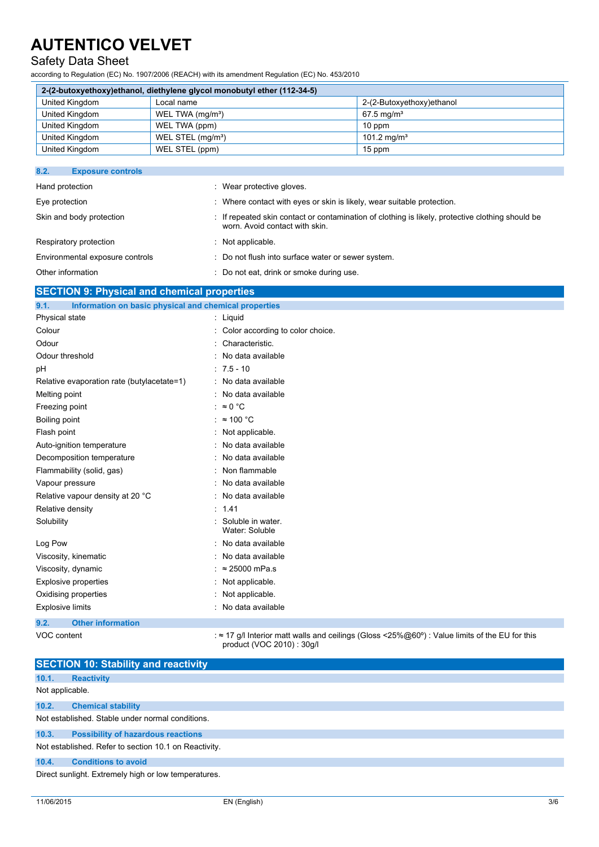## Safety Data Sheet

according to Regulation (EC) No. 1907/2006 (REACH) with its amendment Regulation (EC) No. 453/2010

| 2-(2-butoxyethoxy)ethanol, diethylene glycol monobutyl ether (112-34-5) |                               |                           |  |  |  |
|-------------------------------------------------------------------------|-------------------------------|---------------------------|--|--|--|
| United Kingdom                                                          | Local name                    | 2-(2-Butoxyethoxy)ethanol |  |  |  |
| United Kingdom                                                          | WEL TWA (mg/m <sup>3</sup> )  | $67.5 \,\mathrm{mq/m^3}$  |  |  |  |
| United Kingdom                                                          | WEL TWA (ppm)                 | $10$ ppm                  |  |  |  |
| United Kingdom                                                          | WEL STEL (mg/m <sup>3</sup> ) | 101.2 mg/m <sup>3</sup>   |  |  |  |
| United Kingdom                                                          | WEL STEL (ppm)                | 15 ppm                    |  |  |  |

| 8.2.<br><b>Exposure controls</b> |                                                                                                                                    |
|----------------------------------|------------------------------------------------------------------------------------------------------------------------------------|
| Hand protection                  | : Wear protective gloves.                                                                                                          |
| Eye protection                   | : Where contact with eyes or skin is likely, wear suitable protection.                                                             |
| Skin and body protection         | : If repeated skin contact or contamination of clothing is likely, protective clothing should be<br>worn. Avoid contact with skin. |
| Respiratory protection           | : Not applicable.                                                                                                                  |
| Environmental exposure controls  | : Do not flush into surface water or sewer system.                                                                                 |
| Other information                | : Do not eat, drink or smoke during use.                                                                                           |

### **SECTION 9: Physical and chemical properties**

| 9.1.<br>Information on basic physical and chemical properties |                                     |
|---------------------------------------------------------------|-------------------------------------|
| Physical state                                                | : Liquid                            |
| Colour                                                        | Color according to color choice.    |
| Odour                                                         | Characteristic.                     |
| Odour threshold                                               | : No data available                 |
| рH                                                            | $: 7.5 - 10$                        |
| Relative evaporation rate (butylacetate=1)                    | : No data available                 |
| Melting point                                                 | : No data available                 |
| Freezing point                                                | : $\approx 0$ °C                    |
| Boiling point                                                 | $\approx$ 100 °C                    |
| Flash point                                                   | Not applicable.                     |
| Auto-ignition temperature                                     | No data available                   |
| Decomposition temperature                                     | No data available                   |
| Flammability (solid, gas)                                     | Non flammable                       |
| Vapour pressure                                               | No data available                   |
| Relative vapour density at 20 °C                              | : No data available                 |
| Relative density                                              | : 1.41                              |
| Solubility                                                    | Soluble in water.<br>Water: Soluble |
| Log Pow                                                       | No data available                   |
| Viscosity, kinematic                                          | No data available                   |
| Viscosity, dynamic                                            | $\approx$ 25000 mPa.s               |
| <b>Explosive properties</b>                                   | Not applicable.                     |
| Oxidising properties                                          | : Not applicable.                   |
| <b>Explosive limits</b>                                       | No data available                   |
| 9.2.<br><b>Other information</b>                              |                                     |

VOC content : ≈ 17 g/l Interior matt walls and ceilings (Gloss <25%@60°) : Value limits of the EU for this product (VOC 2010) : 30g/l

|                 | <b>SECTION 10: Stability and reactivity</b>           |
|-----------------|-------------------------------------------------------|
| 10.1.           | <b>Reactivity</b>                                     |
| Not applicable. |                                                       |
| 10.2.           | <b>Chemical stability</b>                             |
|                 | Not established. Stable under normal conditions.      |
| 10.3.           | <b>Possibility of hazardous reactions</b>             |
|                 | Not established. Refer to section 10.1 on Reactivity. |
| 10.4.           | <b>Conditions to avoid</b>                            |
|                 | Direct sunlight. Extremely high or low temperatures.  |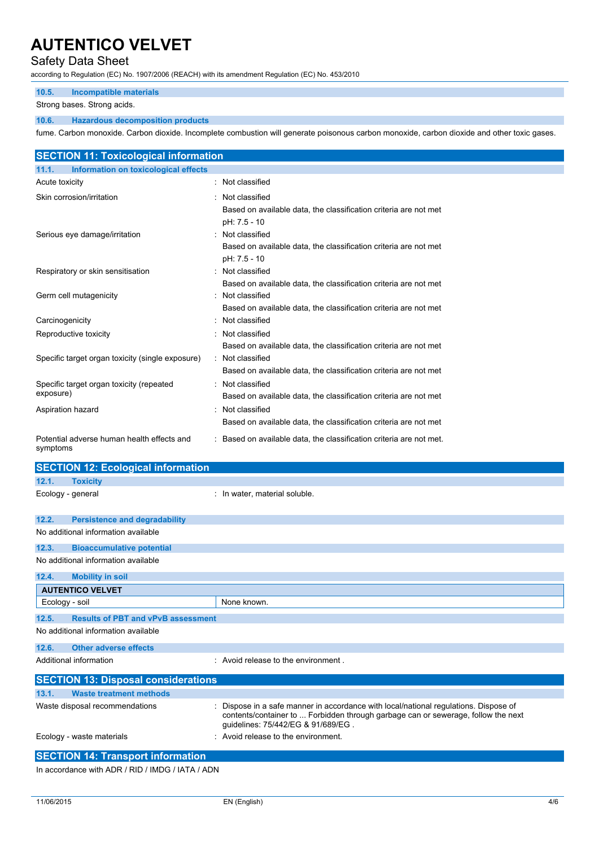### Safety Data Sheet

according to Regulation (EC) No. 1907/2006 (REACH) with its amendment Regulation (EC) No. 453/2010

#### **10.5. Incompatible materials**

Strong bases. Strong acids.

#### **10.6. Hazardous decomposition products**

fume. Carbon monoxide. Carbon dioxide. Incomplete combustion will generate poisonous carbon monoxide, carbon dioxide and other toxic gases.

|                       | <b>SECTION 11: Toxicological information</b>     |                                                                                                      |
|-----------------------|--------------------------------------------------|------------------------------------------------------------------------------------------------------|
| 11.1.                 | <b>Information on toxicological effects</b>      |                                                                                                      |
| <b>Acute toxicity</b> |                                                  | : Not classified                                                                                     |
|                       | Skin corrosion/irritation                        | Not classified<br>Based on available data, the classification criteria are not met<br>pH: 7.5 - 10   |
|                       | Serious eye damage/irritation                    | : Not classified<br>Based on available data, the classification criteria are not met<br>pH: 7.5 - 10 |
|                       | Respiratory or skin sensitisation                | : Not classified<br>Based on available data, the classification criteria are not met                 |
|                       | Germ cell mutagenicity                           | : Not classified<br>Based on available data, the classification criteria are not met                 |
| Carcinogenicity       |                                                  | Not classified                                                                                       |
|                       | Reproductive toxicity                            | : Not classified<br>Based on available data, the classification criteria are not met                 |
|                       | Specific target organ toxicity (single exposure) | : Not classified<br>Based on available data, the classification criteria are not met                 |
| exposure)             | Specific target organ toxicity (repeated         | : Not classified<br>Based on available data, the classification criteria are not met                 |
| Aspiration hazard     |                                                  | : Not classified<br>Based on available data, the classification criteria are not met                 |
| symptoms              | Potential adverse human health effects and       | : Based on available data, the classification criteria are not met.                                  |
|                       | <b>SECTION 12: Ecological information</b>        |                                                                                                      |
| 12.1.                 | <b>Toxicity</b>                                  |                                                                                                      |
| Ecology - general     |                                                  | : In water, material soluble.                                                                        |
| 12.2.                 | <b>Persistence and degradability</b>             |                                                                                                      |
|                       | No additional information available              |                                                                                                      |
| 12.3.                 | <b>Bioaccumulative potential</b>                 |                                                                                                      |

| No additional information available                |                                                                                                                                                                                                               |
|----------------------------------------------------|---------------------------------------------------------------------------------------------------------------------------------------------------------------------------------------------------------------|
| 12.4.<br><b>Mobility in soil</b>                   |                                                                                                                                                                                                               |
| <b>AUTENTICO VELVET</b>                            |                                                                                                                                                                                                               |
| Ecology - soil                                     | None known.                                                                                                                                                                                                   |
| <b>Results of PBT and vPvB assessment</b><br>12.5. |                                                                                                                                                                                                               |
| No additional information available                |                                                                                                                                                                                                               |
| Other adverse effects<br>12.6.                     |                                                                                                                                                                                                               |
| Additional information                             | : Avoid release to the environment.                                                                                                                                                                           |
| <b>SECTION 13: Disposal considerations</b>         |                                                                                                                                                                                                               |
| <b>Waste treatment methods</b><br>13.1.            |                                                                                                                                                                                                               |
| Waste disposal recommendations                     | Dispose in a safe manner in accordance with local/national regulations. Dispose of<br>contents/container to  Forbidden through garbage can or sewerage, follow the next<br>guidelines: 75/442/EG & 91/689/EG. |
| Ecology - waste materials                          | : Avoid release to the environment.                                                                                                                                                                           |
| <b>SECTION 14: Transport information</b>           |                                                                                                                                                                                                               |

In accordance with ADR / RID / IMDG / IATA / ADN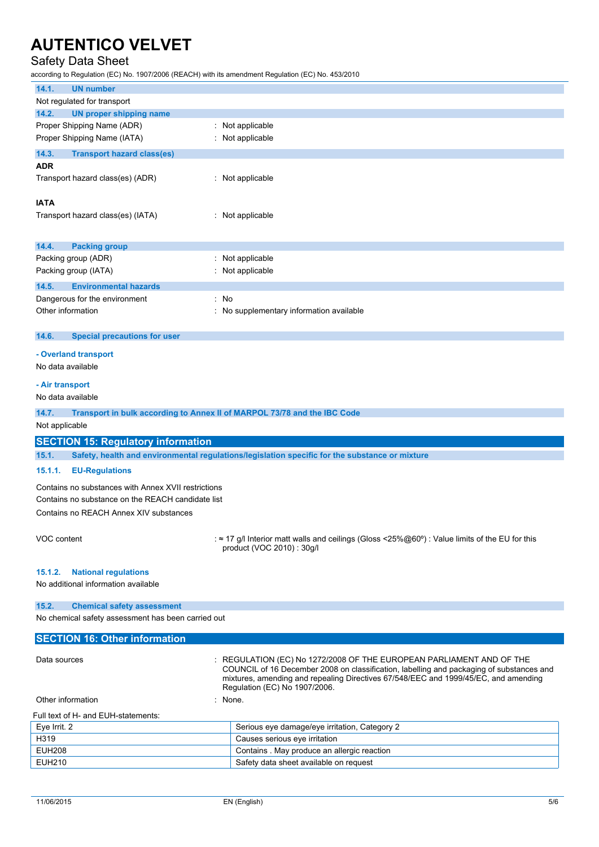## Safety Data Sheet

according to Regulation (EC) No. 1907/2006 (REACH) with its amendment Regulation (EC) No. 453/2010

| 14.1.<br><b>UN number</b>                                                                               |                                                                                                |  |
|---------------------------------------------------------------------------------------------------------|------------------------------------------------------------------------------------------------|--|
| Not regulated for transport                                                                             |                                                                                                |  |
| 14.2.<br><b>UN proper shipping name</b>                                                                 |                                                                                                |  |
| Proper Shipping Name (ADR)                                                                              | : Not applicable                                                                               |  |
| Proper Shipping Name (IATA)                                                                             | : Not applicable                                                                               |  |
| 14.3.<br><b>Transport hazard class(es)</b>                                                              |                                                                                                |  |
| <b>ADR</b>                                                                                              |                                                                                                |  |
| Transport hazard class(es) (ADR)                                                                        | : Not applicable                                                                               |  |
|                                                                                                         |                                                                                                |  |
| <b>IATA</b>                                                                                             |                                                                                                |  |
| Transport hazard class(es) (IATA)                                                                       | : Not applicable                                                                               |  |
|                                                                                                         |                                                                                                |  |
| 14.4.<br><b>Packing group</b>                                                                           |                                                                                                |  |
| Packing group (ADR)                                                                                     | : Not applicable                                                                               |  |
| Packing group (IATA)                                                                                    | Not applicable                                                                                 |  |
|                                                                                                         |                                                                                                |  |
| 14.5.<br><b>Environmental hazards</b>                                                                   |                                                                                                |  |
| Dangerous for the environment                                                                           | : No                                                                                           |  |
| Other information                                                                                       | : No supplementary information available                                                       |  |
|                                                                                                         |                                                                                                |  |
| 14.6.<br><b>Special precautions for user</b>                                                            |                                                                                                |  |
| - Overland transport                                                                                    |                                                                                                |  |
| No data available                                                                                       |                                                                                                |  |
|                                                                                                         |                                                                                                |  |
| - Air transport                                                                                         |                                                                                                |  |
| No data available                                                                                       |                                                                                                |  |
| 14.7.<br>Transport in bulk according to Annex II of MARPOL 73/78 and the IBC Code                       |                                                                                                |  |
| Not applicable                                                                                          |                                                                                                |  |
| <b>SECTION 15: Regulatory information</b>                                                               |                                                                                                |  |
| 15.1.<br>Safety, health and environmental regulations/legislation specific for the substance or mixture |                                                                                                |  |
| 15.1.1.<br><b>EU-Regulations</b>                                                                        |                                                                                                |  |
|                                                                                                         |                                                                                                |  |
| Contains no substances with Annex XVII restrictions                                                     |                                                                                                |  |
| Contains no substance on the REACH candidate list                                                       |                                                                                                |  |
| Contains no REACH Annex XIV substances                                                                  |                                                                                                |  |
|                                                                                                         |                                                                                                |  |
| VOC content                                                                                             | : ≈ 17 g/l Interior matt walls and ceilings (Gloss <25%@60°) : Value limits of the EU for this |  |
|                                                                                                         | product (VOC 2010): 30q/l                                                                      |  |
|                                                                                                         |                                                                                                |  |
| <b>National regulations</b><br>15.1.2.<br>No additional information available                           |                                                                                                |  |
|                                                                                                         |                                                                                                |  |
| 15.2.<br><b>Chemical safety assessment</b>                                                              |                                                                                                |  |
| No chemical safety assessment has been carried out                                                      |                                                                                                |  |
|                                                                                                         |                                                                                                |  |
| <b>SECTION 16: Other information</b>                                                                    |                                                                                                |  |
| Data sources                                                                                            | $\colon$ REGULATION (EC) No 1272/2008 OF THE EUROPEAN PARLIAMENT AND OF THE                    |  |
|                                                                                                         | COUNCIL of 16 December 2008 on classification, labelling and packaging of substances and       |  |
|                                                                                                         | mixtures, amending and repealing Directives 67/548/EEC and 1999/45/EC, and amending            |  |
|                                                                                                         | Regulation (EC) No 1907/2006.                                                                  |  |

Other information in the contract of the contract of the contract of the contract of the contract of the contract of the contract of the contract of the contract of the contract of the contract of the contract of the contr Full text of H- and EUH-statements:

| FUILLEALUL FI- ANU EUFI-SLAIGNIEILIS. |                                               |
|---------------------------------------|-----------------------------------------------|
| Eve Irrit. 2                          | Serious eye damage/eye irritation, Category 2 |
| H319                                  | Causes serious eye irritation                 |
| EUH208                                | Contains . May produce an allergic reaction   |
| EUH210                                | Safety data sheet available on request        |